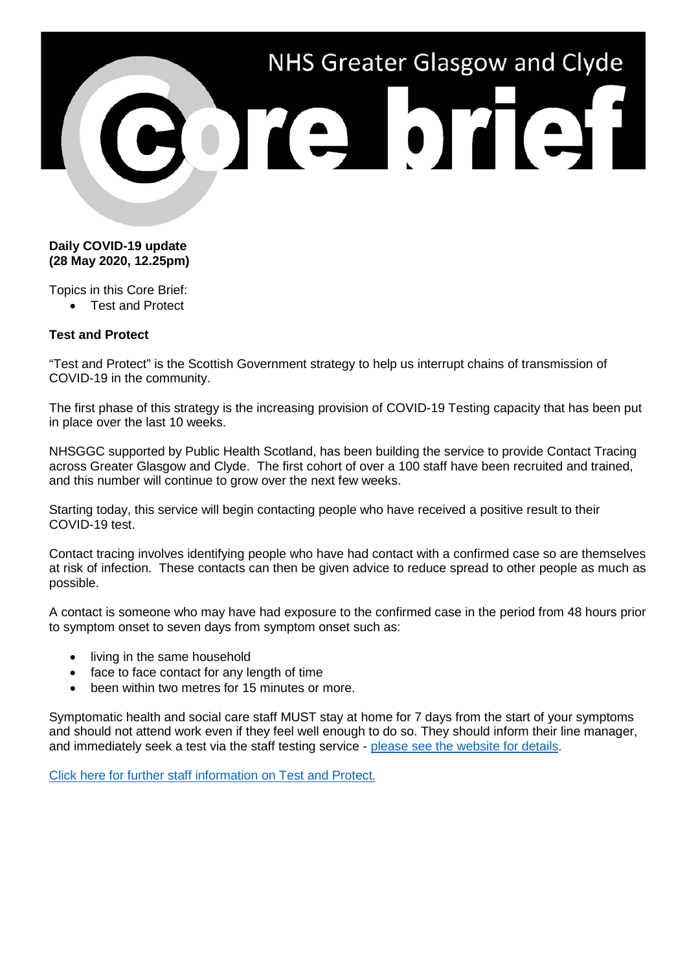

## **Daily COVID-19 update (28 May 2020, 12.25pm)**

Topics in this Core Brief:

• Test and Protect

## **Test and Protect**

"Test and Protect" is the Scottish Government strategy to help us interrupt chains of transmission of COVID-19 in the community.

The first phase of this strategy is the increasing provision of COVID-19 Testing capacity that has been put in place over the last 10 weeks.

NHSGGC supported by Public Health Scotland, has been building the service to provide Contact Tracing across Greater Glasgow and Clyde. The first cohort of over a 100 staff have been recruited and trained, and this number will continue to grow over the next few weeks.

Starting today, this service will begin contacting people who have received a positive result to their COVID-19 test.

Contact tracing involves identifying people who have had contact with a confirmed case so are themselves at risk of infection. These contacts can then be given advice to reduce spread to other people as much as possible.

A contact is someone who may have had exposure to the confirmed case in the period from 48 hours prior to symptom onset to seven days from symptom onset such as:

- living in the same household
- face to face contact for any length of time
- been within two metres for 15 minutes or more.

Symptomatic health and social care staff MUST stay at home for 7 days from the start of your symptoms and should not attend work even if they feel well enough to do so. They should inform their line manager, and immediately seek a test via the staff testing service - [please see the website for details.](https://www.nhsggc.org.uk/your-health/health-issues/covid-19-coronavirus/for-nhsggc-staff/testing-for-staff-and-their-household-contacts/)

[Click here for further staff information on Test and Protect.](https://www.nhsggc.org.uk/your-health/health-issues/covid-19-coronavirus/for-nhsggc-staff/test-and-protect/)